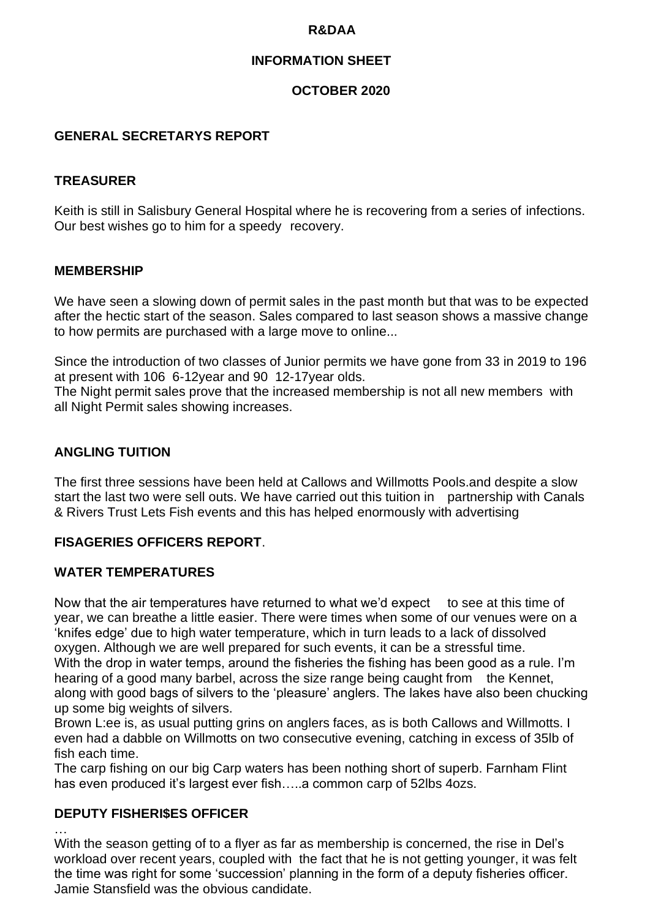## **R&DAA**

# **INFORMATION SHEET**

# **OCTOBER 2020**

## **GENERAL SECRETARYS REPORT**

## **TREASURER**

Keith is still in Salisbury General Hospital where he is recovering from a series of infections. Our best wishes go to him for a speedy recovery.

#### **MEMBERSHIP**

We have seen a slowing down of permit sales in the past month but that was to be expected after the hectic start of the season. Sales compared to last season shows a massive change to how permits are purchased with a large move to online...

Since the introduction of two classes of Junior permits we have gone from 33 in 2019 to 196 at present with 106 6-12year and 90 12-17year olds.

The Night permit sales prove that the increased membership is not all new members with all Night Permit sales showing increases.

#### **ANGLING TUITION**

The first three sessions have been held at Callows and Willmotts Pools.and despite a slow start the last two were sell outs. We have carried out this tuition in partnership with Canals & Rivers Trust Lets Fish events and this has helped enormously with advertising

# **FISAGERIES OFFICERS REPORT**.

#### **WATER TEMPERATURES**

Now that the air temperatures have returned to what we'd expect to see at this time of year, we can breathe a little easier. There were times when some of our venues were on a 'knifes edge' due to high water temperature, which in turn leads to a lack of dissolved oxygen. Although we are well prepared for such events, it can be a stressful time. With the drop in water temps, around the fisheries the fishing has been good as a rule. I'm hearing of a good many barbel, across the size range being caught from the Kennet, along with good bags of silvers to the 'pleasure' anglers. The lakes have also been chucking up some big weights of silvers.

Brown L:ee is, as usual putting grins on anglers faces, as is both Callows and Willmotts. I even had a dabble on Willmotts on two consecutive evening, catching in excess of 35lb of fish each time.

The carp fishing on our big Carp waters has been nothing short of superb. Farnham Flint has even produced it's largest ever fish....a common carp of 52lbs 4ozs.

# **DEPUTY FISHERI\$ES OFFICER**

…

With the season getting of to a flyer as far as membership is concerned, the rise in Del's workload over recent years, coupled with the fact that he is not getting younger, it was felt the time was right for some 'succession' planning in the form of a deputy fisheries officer. Jamie Stansfield was the obvious candidate.